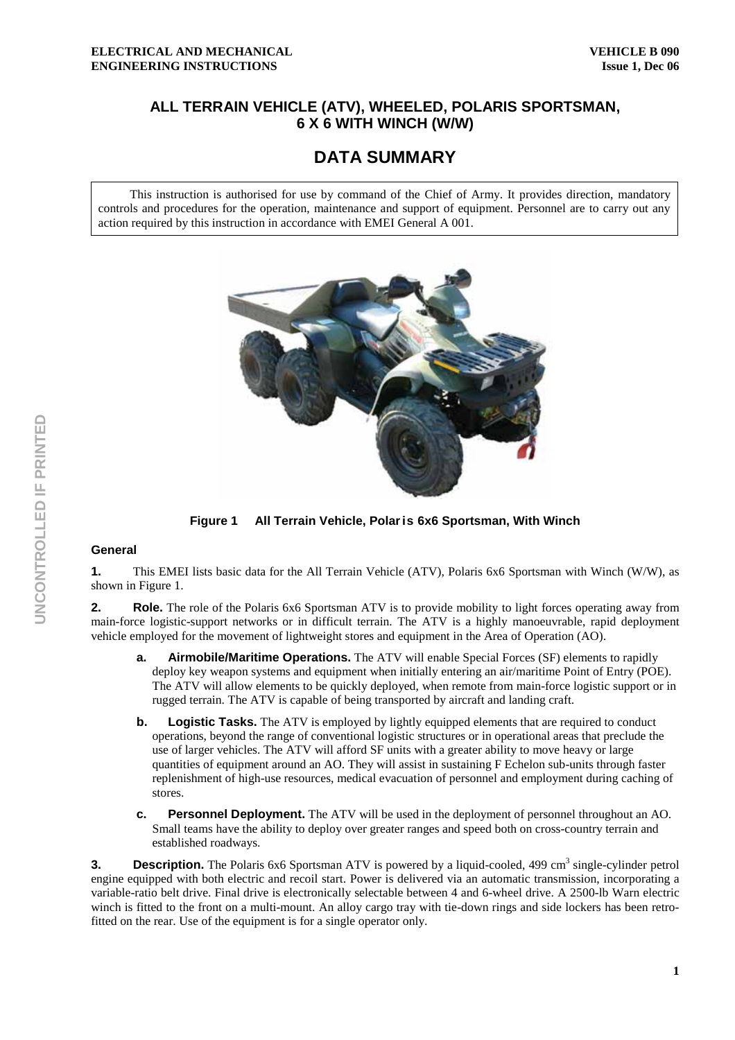## **ALL TERRAIN VEHICLE (ATV), WHEELED, POLARIS SPORTSMAN, 6 X 6 WITH WINCH (W/W)**

## **DATA SUMMARY**

This instruction is authorised for use by command of the Chief of Army. It provides direction, mandatory controls and procedures for the operation, maintenance and support of equipment. Personnel are to carry out any action required by this instruction in accordance with EMEI General A 001.



**Figure 1 All Terrain Vehicle, Polar is 6x6 Sportsman, With Winch**

## **General**

**1.** This EMEI lists basic data for the All Terrain Vehicle (ATV), Polaris 6x6 Sportsman with Winch (W/W), as shown in Figure 1.

**2.** Role. The role of the Polaris 6x6 Sportsman ATV is to provide mobility to light forces operating away from main-force logistic-support networks or in difficult terrain. The ATV is a highly manoeuvrable, rapid deployment vehicle employed for the movement of lightweight stores and equipment in the Area of Operation (AO).

- **a.** Airmobile/Maritime Operations. The ATV will enable Special Forces (SF) elements to rapidly deploy key weapon systems and equipment when initially entering an air/maritime Point of Entry (POE). The ATV will allow elements to be quickly deployed, when remote from main-force logistic support or in rugged terrain. The ATV is capable of being transported by aircraft and landing craft.
- **b.** Logistic Tasks. The ATV is employed by lightly equipped elements that are required to conduct operations, beyond the range of conventional logistic structures or in operational areas that preclude the use of larger vehicles. The ATV will afford SF units with a greater ability to move heavy or large quantities of equipment around an AO. They will assist in sustaining F Echelon sub-units through faster replenishment of high-use resources, medical evacuation of personnel and employment during caching of stores.
- **c. Personnel Deployment.** The ATV will be used in the deployment of personnel throughout an AO. Small teams have the ability to deploy over greater ranges and speed both on cross-country terrain and established roadways.

**3.** Description. The Polaris 6x6 Sportsman ATV is powered by a liquid-cooled, 499 cm<sup>3</sup> single-cylinder petrol engine equipped with both electric and recoil start. Power is delivered via an automatic transmission, incorporating a variable-ratio belt drive. Final drive is electronically selectable between 4 and 6-wheel drive. A 2500-lb Warn electric winch is fitted to the front on a multi-mount. An alloy cargo tray with tie-down rings and side lockers has been retrofitted on the rear. Use of the equipment is for a single operator only.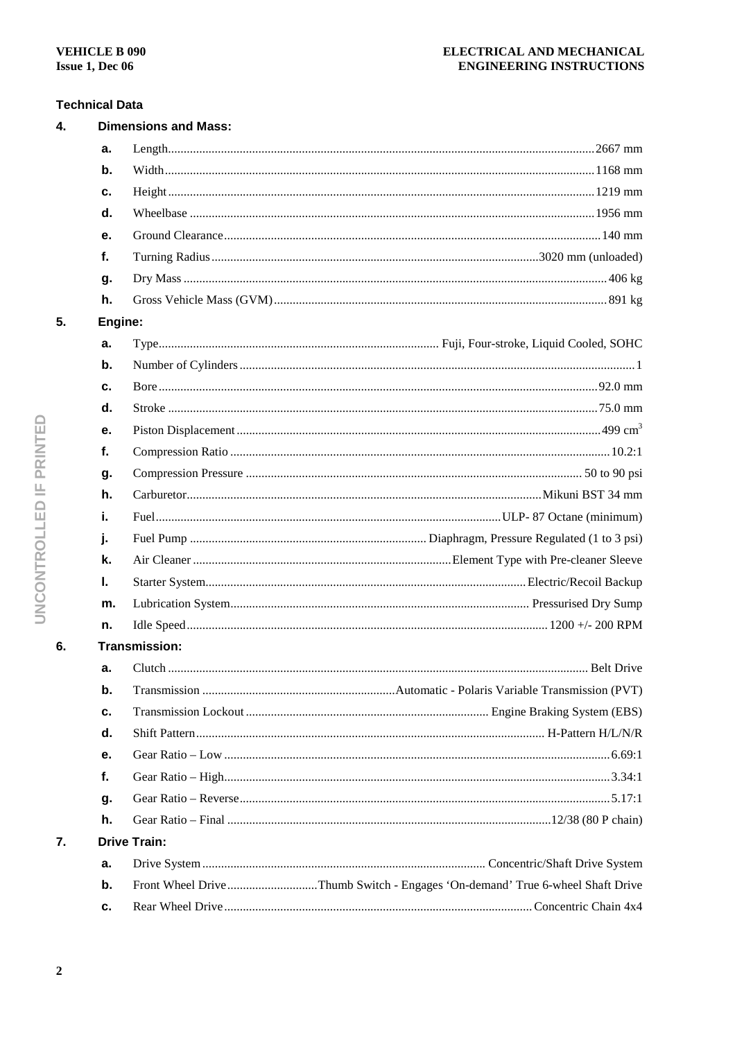## **Technical Data**

| 4. | <b>Dimensions and Mass:</b> |                     |                                                                              |
|----|-----------------------------|---------------------|------------------------------------------------------------------------------|
|    | a.                          |                     |                                                                              |
|    | b.                          |                     |                                                                              |
|    | c.                          |                     |                                                                              |
|    | d.                          |                     |                                                                              |
|    | е.                          |                     |                                                                              |
|    | f.                          |                     |                                                                              |
|    | g.                          |                     |                                                                              |
|    | h.                          |                     |                                                                              |
| 5. | Engine:                     |                     |                                                                              |
|    | a.                          |                     |                                                                              |
|    | b.                          |                     |                                                                              |
|    | c.                          |                     |                                                                              |
|    | d.                          |                     |                                                                              |
|    | е.                          |                     |                                                                              |
|    | f.                          |                     |                                                                              |
|    | g.                          |                     |                                                                              |
|    | h.                          |                     |                                                                              |
|    | i.                          |                     |                                                                              |
|    | j.                          |                     |                                                                              |
|    | k.                          |                     |                                                                              |
|    | ı.                          |                     |                                                                              |
|    | m.                          |                     |                                                                              |
|    | n.                          |                     |                                                                              |
| 6. | Transmission:               |                     |                                                                              |
|    | a.                          |                     |                                                                              |
|    | b.                          |                     |                                                                              |
|    | c.                          |                     |                                                                              |
|    | d.                          |                     |                                                                              |
|    | е.                          |                     |                                                                              |
|    | f.                          |                     |                                                                              |
|    | g.                          |                     |                                                                              |
|    | h.                          |                     |                                                                              |
| 7. |                             | <b>Drive Train:</b> |                                                                              |
|    | a.                          |                     |                                                                              |
|    | b.                          |                     | Front Wheel DriveThumb Switch - Engages 'On-demand' True 6-wheel Shaft Drive |
|    | c.                          |                     |                                                                              |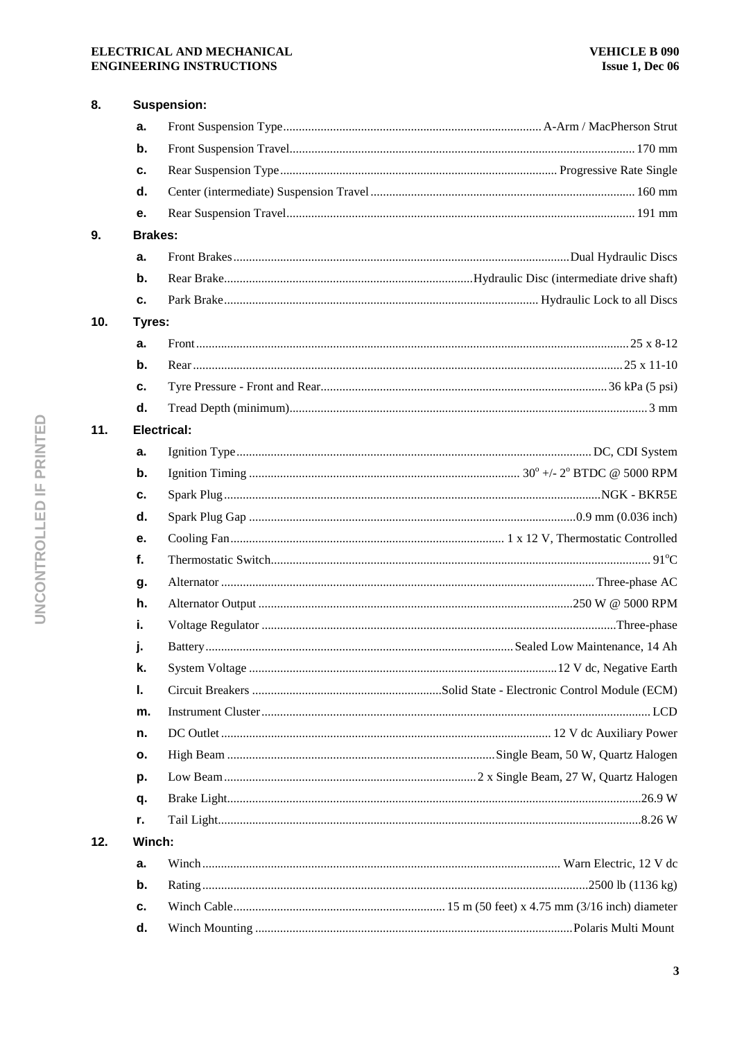#### ELECTRICAL AND MECHANICAL **ENGINEERING INSTRUCTIONS**

| 8.  |                | <b>Suspension:</b> |  |  |  |  |
|-----|----------------|--------------------|--|--|--|--|
|     | a.             |                    |  |  |  |  |
|     | $\mathbf b$ .  |                    |  |  |  |  |
|     | c.             |                    |  |  |  |  |
|     | d.             |                    |  |  |  |  |
|     | е.             |                    |  |  |  |  |
| 9.  | <b>Brakes:</b> |                    |  |  |  |  |
|     | a.             |                    |  |  |  |  |
|     | b.             |                    |  |  |  |  |
|     | c.             |                    |  |  |  |  |
| 10. |                | Tyres:             |  |  |  |  |
|     | a.             |                    |  |  |  |  |
|     | $\mathbf b$ .  |                    |  |  |  |  |
|     | с.             |                    |  |  |  |  |
|     | d.             |                    |  |  |  |  |
| 11. |                | <b>Electrical:</b> |  |  |  |  |
|     | a.             |                    |  |  |  |  |
|     | $\mathbf b$ .  |                    |  |  |  |  |
|     | с.             |                    |  |  |  |  |
|     | d.             |                    |  |  |  |  |
|     | е.             |                    |  |  |  |  |
|     | f.             |                    |  |  |  |  |
|     | g.             |                    |  |  |  |  |
|     | h.             |                    |  |  |  |  |
|     | i.             |                    |  |  |  |  |
|     | j.             |                    |  |  |  |  |
|     | k.             |                    |  |  |  |  |
|     | I.             |                    |  |  |  |  |
|     | m.             |                    |  |  |  |  |
|     | n.             |                    |  |  |  |  |
|     | ο.             |                    |  |  |  |  |
|     | p.             |                    |  |  |  |  |
|     | q.             |                    |  |  |  |  |
|     | r.             |                    |  |  |  |  |
| 12. | Winch:         |                    |  |  |  |  |
|     | a.             |                    |  |  |  |  |
|     | b.             |                    |  |  |  |  |
|     | с.             |                    |  |  |  |  |
|     | d.             |                    |  |  |  |  |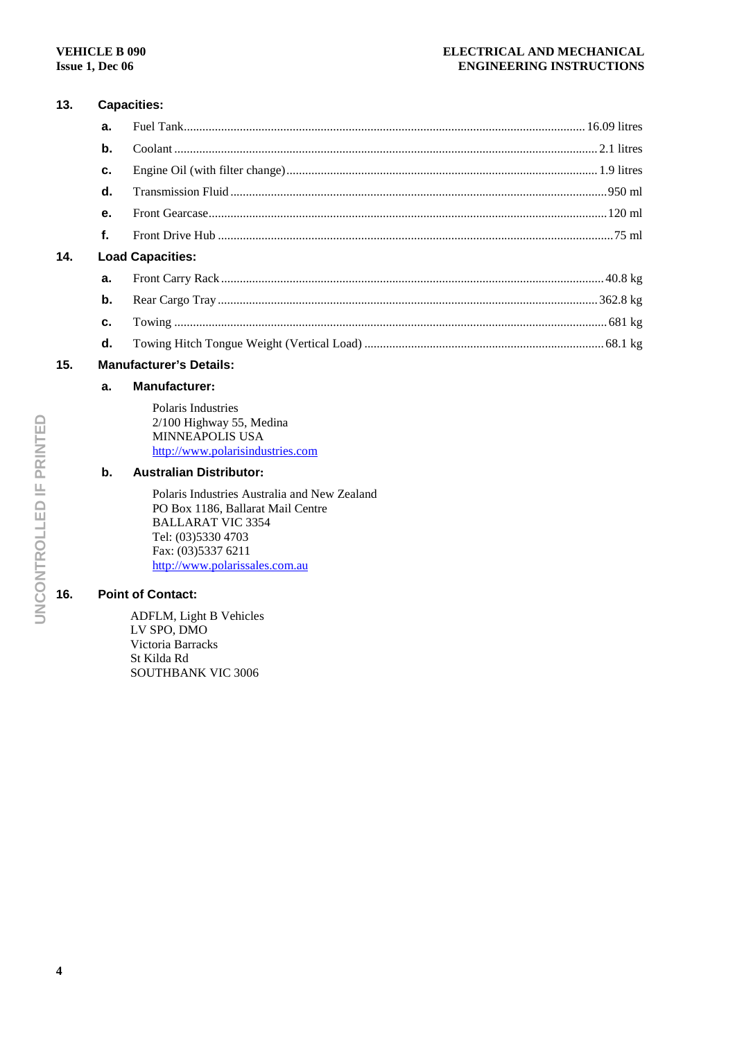# **13. Capacities:**

**14.** 

| a.                      |  |  |  |  |
|-------------------------|--|--|--|--|
| b.                      |  |  |  |  |
| c.                      |  |  |  |  |
| d.                      |  |  |  |  |
| $\mathbf{e}$ .          |  |  |  |  |
| f.                      |  |  |  |  |
| <b>Load Capacities:</b> |  |  |  |  |
| a.                      |  |  |  |  |
| b.                      |  |  |  |  |
| C.                      |  |  |  |  |
| d.                      |  |  |  |  |

## **15. Manufacturer's Details:**

## **a. Manufacturer:**

Polaris Industries 2/100 Highway 55, Medina MINNEAPOLIS USA http://www.polarisindustries.com

## **b. Australian Distributor:**

Polaris Industries Australia and New Zealand PO Box 1186, Ballarat Mail Centre BALLARAT VIC 3354 Tel: (03)5330 4703 Fax: (03)5337 6211 http://www.polarissales.com.au

## **16. Point of Contact:**

ADFLM, Light B Vehicles LV SPO, DMO Victoria Barracks St Kilda Rd SOUTHBANK VIC 3006